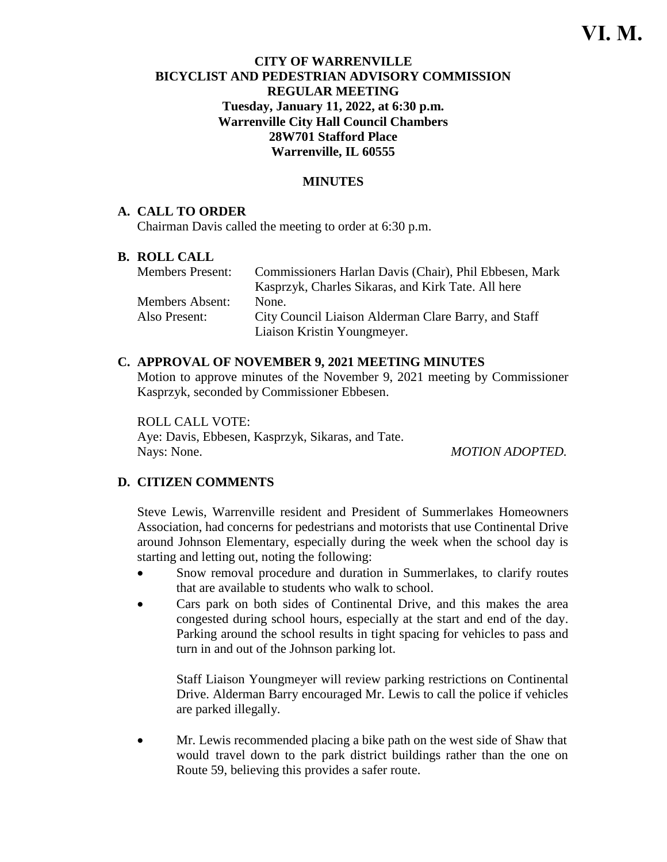# **CITY OF WARRENVILLE BICYCLIST AND PEDESTRIAN ADVISORY COMMISSION REGULAR MEETING Tuesday, January 11, 2022, at 6:30 p.m. Warrenville City Hall Council Chambers 28W701 Stafford Place Warrenville, IL 60555**

# **MINUTES**

### **A. CALL TO ORDER**

Chairman Davis called the meeting to order at 6:30 p.m.

#### **B. ROLL CALL**

| <b>Members Present:</b> | Commissioners Harlan Davis (Chair), Phil Ebbesen, Mark |
|-------------------------|--------------------------------------------------------|
|                         | Kasprzyk, Charles Sikaras, and Kirk Tate. All here     |
| <b>Members Absent:</b>  | None.                                                  |
| Also Present:           | City Council Liaison Alderman Clare Barry, and Staff   |
|                         | Liaison Kristin Youngmeyer.                            |

# **C. APPROVAL OF NOVEMBER 9, 2021 MEETING MINUTES**

Motion to approve minutes of the November 9, 2021 meeting by Commissioner Kasprzyk, seconded by Commissioner Ebbesen.

ROLL CALL VOTE: Aye: Davis, Ebbesen, Kasprzyk, Sikaras, and Tate. Nays: None. *MOTION ADOPTED.*

### **D. CITIZEN COMMENTS**

Steve Lewis, Warrenville resident and President of Summerlakes Homeowners Association, had concerns for pedestrians and motorists that use Continental Drive around Johnson Elementary, especially during the week when the school day is starting and letting out, noting the following:

- Snow removal procedure and duration in Summerlakes, to clarify routes that are available to students who walk to school.
- Cars park on both sides of Continental Drive, and this makes the area congested during school hours, especially at the start and end of the day. Parking around the school results in tight spacing for vehicles to pass and turn in and out of the Johnson parking lot.

Staff Liaison Youngmeyer will review parking restrictions on Continental Drive. Alderman Barry encouraged Mr. Lewis to call the police if vehicles are parked illegally.

• Mr. Lewis recommended placing a bike path on the west side of Shaw that would travel down to the park district buildings rather than the one on Route 59, believing this provides a safer route.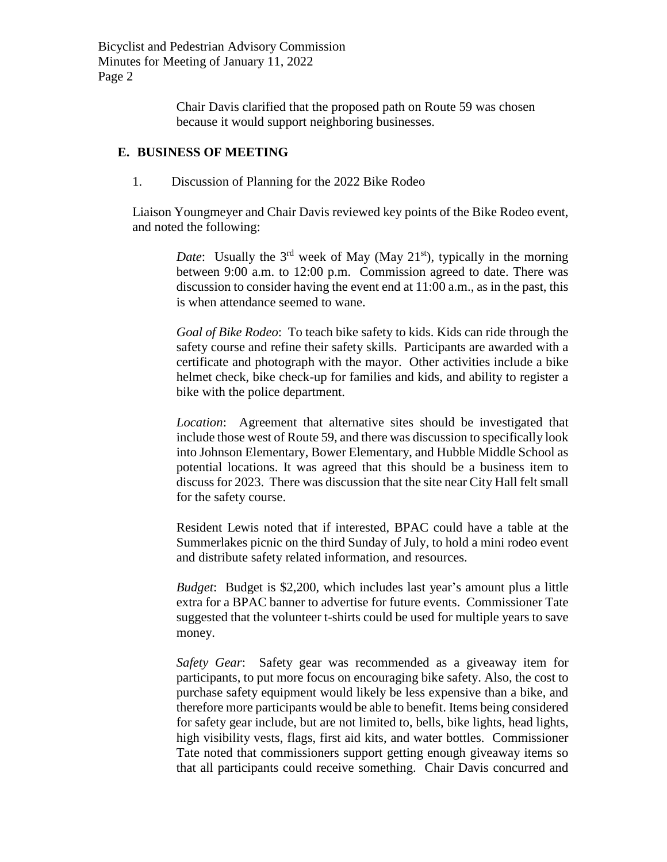Bicyclist and Pedestrian Advisory Commission Minutes for Meeting of January 11, 2022 Page 2

> Chair Davis clarified that the proposed path on Route 59 was chosen because it would support neighboring businesses.

### **E. BUSINESS OF MEETING**

1. Discussion of Planning for the 2022 Bike Rodeo

Liaison Youngmeyer and Chair Davis reviewed key points of the Bike Rodeo event, and noted the following:

> *Date*: Usually the  $3<sup>rd</sup>$  week of May (May  $21<sup>st</sup>$ ), typically in the morning between 9:00 a.m. to 12:00 p.m. Commission agreed to date. There was discussion to consider having the event end at 11:00 a.m., as in the past, this is when attendance seemed to wane.

> *Goal of Bike Rodeo*: To teach bike safety to kids. Kids can ride through the safety course and refine their safety skills. Participants are awarded with a certificate and photograph with the mayor. Other activities include a bike helmet check, bike check-up for families and kids, and ability to register a bike with the police department.

> *Location*: Agreement that alternative sites should be investigated that include those west of Route 59, and there was discussion to specifically look into Johnson Elementary, Bower Elementary, and Hubble Middle School as potential locations. It was agreed that this should be a business item to discuss for 2023. There was discussion that the site near City Hall felt small for the safety course.

> Resident Lewis noted that if interested, BPAC could have a table at the Summerlakes picnic on the third Sunday of July, to hold a mini rodeo event and distribute safety related information, and resources.

> *Budget*: Budget is \$2,200, which includes last year's amount plus a little extra for a BPAC banner to advertise for future events. Commissioner Tate suggested that the volunteer t-shirts could be used for multiple years to save money.

> *Safety Gear*: Safety gear was recommended as a giveaway item for participants, to put more focus on encouraging bike safety. Also, the cost to purchase safety equipment would likely be less expensive than a bike, and therefore more participants would be able to benefit. Items being considered for safety gear include, but are not limited to, bells, bike lights, head lights, high visibility vests, flags, first aid kits, and water bottles. Commissioner Tate noted that commissioners support getting enough giveaway items so that all participants could receive something. Chair Davis concurred and